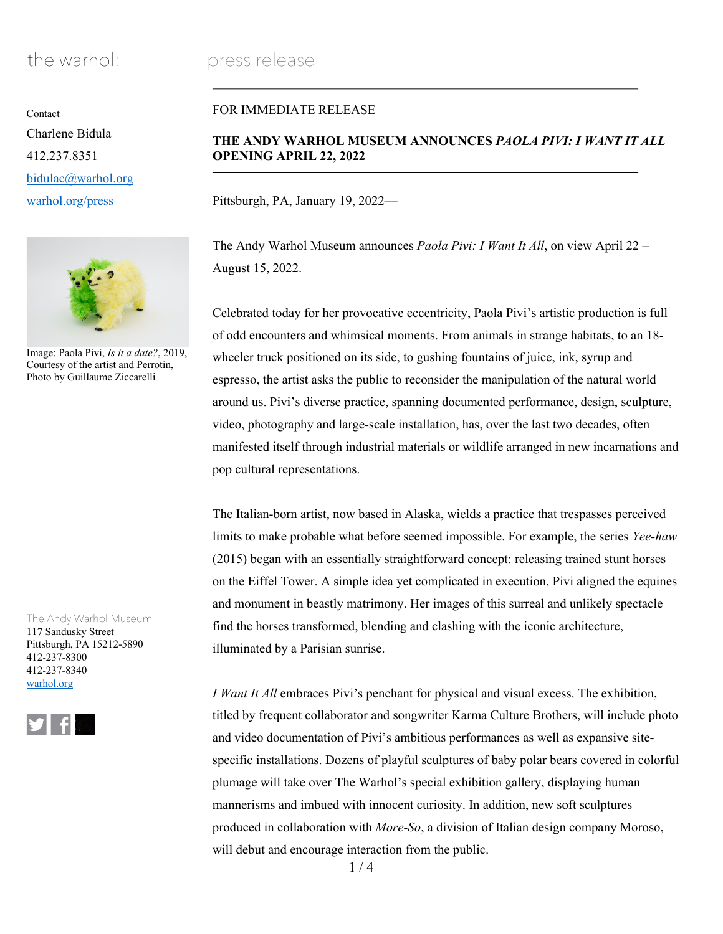# the warhol: press release

**Contact** Charlene Bidula 412.237.8351 bidulac@warhol.org warhol.org/press



Image: Paola Pivi, *Is it a date?*, 2019, Courtesy of the artist and Perrotin, Photo by Guillaume Ziccarelli

The Andy Warhol Museum 117 Sandusky Street Pittsburgh, PA 15212-5890 412-237-8300 412-237-8340 warhol.org



# FOR IMMEDIATE RELEASE

# **THE ANDY WARHOL MUSEUM ANNOUNCES** *PAOLA PIVI: I WANT IT ALL* **OPENING APRIL 22, 2022**

Pittsburgh, PA, January 19, 2022—

The Andy Warhol Museum announces *Paola Pivi: I Want It All*, on view April 22 – August 15, 2022.

Celebrated today for her provocative eccentricity, Paola Pivi's artistic production is full of odd encounters and whimsical moments. From animals in strange habitats, to an 18 wheeler truck positioned on its side, to gushing fountains of juice, ink, syrup and espresso, the artist asks the public to reconsider the manipulation of the natural world around us. Pivi's diverse practice, spanning documented performance, design, sculpture, video, photography and large-scale installation, has, over the last two decades, often manifested itself through industrial materials or wildlife arranged in new incarnations and pop cultural representations.

The Italian-born artist, now based in Alaska, wields a practice that trespasses perceived limits to make probable what before seemed impossible. For example, the series *Yee-haw*  (2015) began with an essentially straightforward concept: releasing trained stunt horses on the Eiffel Tower. A simple idea yet complicated in execution, Pivi aligned the equines and monument in beastly matrimony. Her images of this surreal and unlikely spectacle find the horses transformed, blending and clashing with the iconic architecture, illuminated by a Parisian sunrise.

*I Want It All* embraces Pivi's penchant for physical and visual excess. The exhibition, titled by frequent collaborator and songwriter Karma Culture Brothers, will include photo and video documentation of Pivi's ambitious performances as well as expansive sitespecific installations. Dozens of playful sculptures of baby polar bears covered in colorful plumage will take over The Warhol's special exhibition gallery, displaying human mannerisms and imbued with innocent curiosity. In addition, new soft sculptures produced in collaboration with *More-So*, a division of Italian design company Moroso, will debut and encourage interaction from the public.

 $1/4$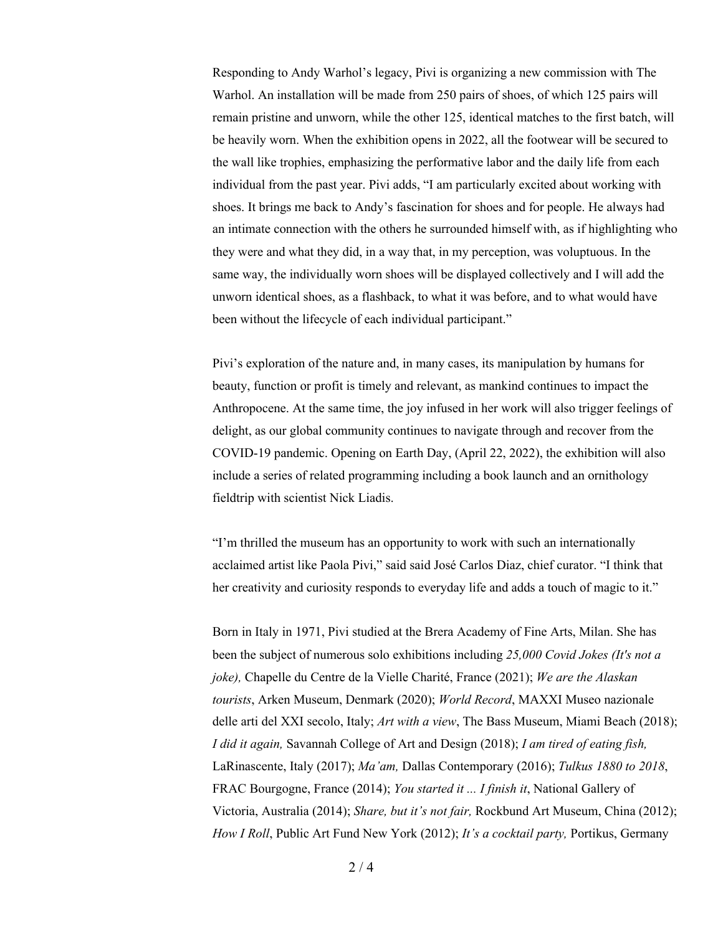Responding to Andy Warhol's legacy, Pivi is organizing a new commission with The Warhol. An installation will be made from 250 pairs of shoes, of which 125 pairs will remain pristine and unworn, while the other 125, identical matches to the first batch, will be heavily worn. When the exhibition opens in 2022, all the footwear will be secured to the wall like trophies, emphasizing the performative labor and the daily life from each individual from the past year. Pivi adds, "I am particularly excited about working with shoes. It brings me back to Andy's fascination for shoes and for people. He always had an intimate connection with the others he surrounded himself with, as if highlighting who they were and what they did, in a way that, in my perception, was voluptuous. In the same way, the individually worn shoes will be displayed collectively and I will add the unworn identical shoes, as a flashback, to what it was before, and to what would have been without the lifecycle of each individual participant."

Pivi's exploration of the nature and, in many cases, its manipulation by humans for beauty, function or profit is timely and relevant, as mankind continues to impact the Anthropocene. At the same time, the joy infused in her work will also trigger feelings of delight, as our global community continues to navigate through and recover from the COVID-19 pandemic. Opening on Earth Day, (April 22, 2022), the exhibition will also include a series of related programming including a book launch and an ornithology fieldtrip with scientist Nick Liadis.

"I'm thrilled the museum has an opportunity to work with such an internationally acclaimed artist like Paola Pivi," said said José Carlos Diaz, chief curator. "I think that her creativity and curiosity responds to everyday life and adds a touch of magic to it."

Born in Italy in 1971, Pivi studied at the Brera Academy of Fine Arts, Milan. She has been the subject of numerous solo exhibitions including *25,000 Covid Jokes (It's not a joke),* Chapelle du Centre de la Vielle Charité, France (2021); *We are the Alaskan tourists*, Arken Museum, Denmark (2020); *World Record*, MAXXI Museo nazionale delle arti del XXI secolo, Italy; *Art with a view*, The Bass Museum, Miami Beach (2018); *I did it again,* Savannah College of Art and Design (2018); *I am tired of eating fish,* LaRinascente, Italy (2017); *Ma'am,* Dallas Contemporary (2016); *Tulkus 1880 to 2018*, FRAC Bourgogne, France (2014); *You started it ... I finish it*, National Gallery of Victoria, Australia (2014); *Share, but it's not fair,* Rockbund Art Museum, China (2012); *How I Roll*, Public Art Fund New York (2012); *It's a cocktail party,* Portikus, Germany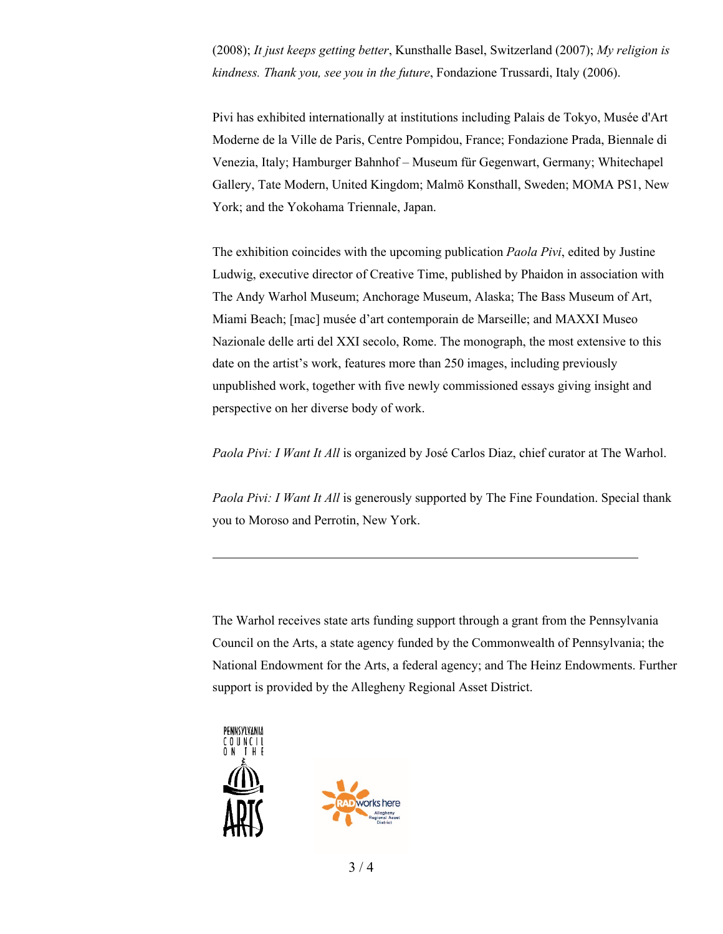(2008); *It just keeps getting better*, Kunsthalle Basel, Switzerland (2007); *My religion is kindness. Thank you, see you in the future*, Fondazione Trussardi, Italy (2006).

Pivi has exhibited internationally at institutions including Palais de Tokyo, Musée d'Art Moderne de la Ville de Paris, Centre Pompidou, France; Fondazione Prada, Biennale di Venezia, Italy; Hamburger Bahnhof – Museum für Gegenwart, Germany; Whitechapel Gallery, Tate Modern, United Kingdom; Malmö Konsthall, Sweden; MOMA PS1, New York; and the Yokohama Triennale, Japan.

The exhibition coincides with the upcoming publication *Paola Pivi*, edited by Justine Ludwig, executive director of Creative Time, published by Phaidon in association with The Andy Warhol Museum; Anchorage Museum, Alaska; The Bass Museum of Art, Miami Beach; [mac] musée d'art contemporain de Marseille; and MAXXI Museo Nazionale delle arti del XXI secolo, Rome. The monograph, the most extensive to this date on the artist's work, features more than 250 images, including previously unpublished work, together with five newly commissioned essays giving insight and perspective on her diverse body of work.

*Paola Pivi: I Want It All* is organized by José Carlos Diaz, chief curator at The Warhol.

*Paola Pivi: I Want It All* is generously supported by The Fine Foundation. Special thank you to Moroso and Perrotin, New York.

The Warhol receives state arts funding support through a grant from the Pennsylvania Council on the Arts, a state agency funded by the Commonwealth of Pennsylvania; the National Endowment for the Arts, a federal agency; and The Heinz Endowments. Further support is provided by the Allegheny Regional Asset District.